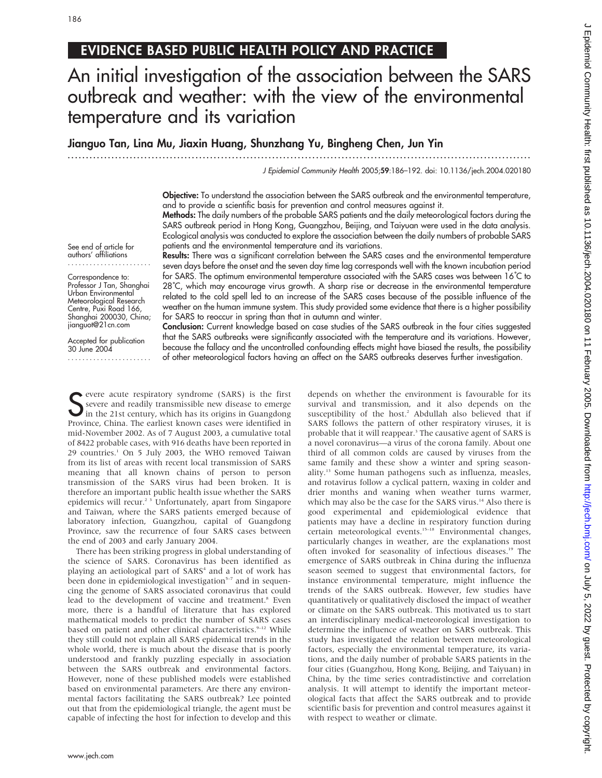# EVIDENCE BASED PUBLIC HEALTH POLICY AND PRACTICE

# An initial investigation of the association between the SARS outbreak and weather: with the view of the environmental temperature and its variation

Jianguo Tan, Lina Mu, Jiaxin Huang, Shunzhang Yu, Bingheng Chen, Jun Yin

...............................................................................................................................

J Epidemiol Community Health 2005;59:186–192. doi: 10.1136/jech.2004.020180

Objective: To understand the association between the SARS outbreak and the environmental temperature, and to provide a scientific basis for prevention and control measures against it.

Methods: The daily numbers of the probable SARS patients and the daily meteorological factors during the SARS outbreak period in Hong Kong, Guangzhou, Beijing, and Taiyuan were used in the data analysis. Ecological analysis was conducted to explore the association between the daily numbers of probable SARS patients and the environmental temperature and its variations.

See end of article for authors' affiliations .......................

Correspondence to: Professor J Tan, Shanghai Urban Environmental Meteorological Research Centre, Puxi Road 166, Shanghai 200030, China; jianguot@21cn.com

Accepted for publication 30 June 2004 ....................... Results: There was a significant correlation between the SARS cases and the environmental temperature seven days before the onset and the seven day time lag corresponds well with the known incubation period for SARS. The optimum environmental temperature associated with the SARS cases was between 16˚C to 28˚C, which may encourage virus growth. A sharp rise or decrease in the environmental temperature related to the cold spell led to an increase of the SARS cases because of the possible influence of the weather on the human immune system. This study provided some evidence that there is a higher possibility for SARS to reoccur in spring than that in autumn and winter.

Conclusion: Current knowledge based on case studies of the SARS outbreak in the four cities suggested that the SARS outbreaks were significantly associated with the temperature and its variations. However, because the fallacy and the uncontrolled confounding effects might have biased the results, the possibility of other meteorological factors having an affect on the SARS outbreaks deserves further investigation.

Severe acute respiratory syndrome (SARS) is the first<br>Severe and readily transmissible new disease to emerge<br>in the 21st century, which has its origins in Guangdong<br>Province China. The explient known cases were identified severe and readily transmissible new disease to emerge In the 21st century, which has its origins in Guangdong Province, China. The earliest known cases were identified in mid-November 2002. As of 7 August 2003, a cumulative total of 8422 probable cases, with 916 deaths have been reported in 29 countries.<sup>1</sup> On 5 July 2003, the WHO removed Taiwan from its list of areas with recent local transmission of SARS meaning that all known chains of person to person transmission of the SARS virus had been broken. It is therefore an important public health issue whether the SARS epidemics will recur.<sup>23</sup> Unfortunately, apart from Singapore and Taiwan, where the SARS patients emerged because of laboratory infection, Guangzhou, capital of Guangdong Province, saw the recurrence of four SARS cases between the end of 2003 and early January 2004.

There has been striking progress in global understanding of the science of SARS. Coronavirus has been identified as playing an aetiological part of SARS<sup>4</sup> and a lot of work has been done in epidemiological investigation<sup>5-7</sup> and in sequencing the genome of SARS associated coronavirus that could lead to the development of vaccine and treatment.<sup>8</sup> Even more, there is a handful of literature that has explored mathematical models to predict the number of SARS cases based on patient and other clinical characteristics.<sup>9–12</sup> While they still could not explain all SARS epidemical trends in the whole world, there is much about the disease that is poorly understood and frankly puzzling especially in association between the SARS outbreak and environmental factors. However, none of these published models were established based on environmental parameters. Are there any environmental factors facilitating the SARS outbreak? Lee pointed out that from the epidemiological triangle, the agent must be capable of infecting the host for infection to develop and this depends on whether the environment is favourable for its survival and transmission, and it also depends on the susceptibility of the host.<sup>2</sup> Abdullah also believed that if SARS follows the pattern of other respiratory viruses, it is probable that it will reappear.<sup>3</sup> The causative agent of SARS is a novel coronavirus—a virus of the corona family. About one third of all common colds are caused by viruses from the same family and these show a winter and spring seasonality.13 Some human pathogens such as influenza, measles, and rotavirus follow a cyclical pattern, waxing in colder and drier months and waning when weather turns warmer, which may also be the case for the SARS virus.<sup>14</sup> Also there is good experimental and epidemiological evidence that patients may have a decline in respiratory function during certain meteorological events.15–18 Environmental changes, particularly changes in weather, are the explanations most often invoked for seasonality of infectious diseases.<sup>19</sup> The emergence of SARS outbreak in China during the influenza season seemed to suggest that environmental factors, for instance environmental temperature, might influence the trends of the SARS outbreak. However, few studies have quantitatively or qualitatively disclosed the impact of weather or climate on the SARS outbreak. This motivated us to start an interdisciplinary medical-meteorological investigation to determine the influence of weather on SARS outbreak. This study has investigated the relation between meteorological factors, especially the environmental temperature, its variations, and the daily number of probable SARS patients in the four cities (Guangzhou, Hong Kong, Beijing, and Taiyuan) in China, by the time series contradistinctive and correlation analysis. It will attempt to identify the important meteorological facts that affect the SARS outbreak and to provide scientific basis for prevention and control measures against it with respect to weather or climate.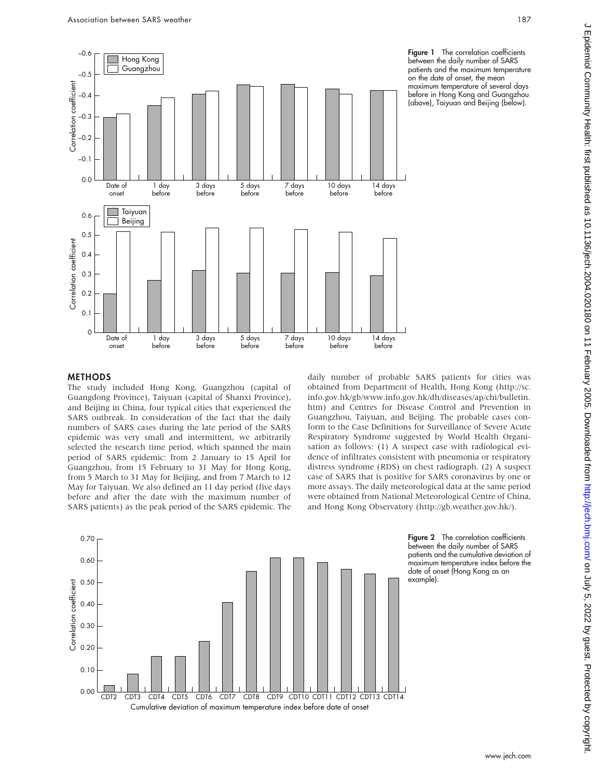

Figure 1 The correlation coefficients between the daily number of SARS patients and the maximum temperature on the date of onset, the mean maximum temperature of several days before in Hong Kong and Guangzhou (above), Taiyuan and Beijing (below).

#### METHODS

The study included Hong Kong, Guangzhou (capital of Guangdong Province), Taiyuan (capital of Shanxi Province), and Beijing in China, four typical cities that experienced the SARS outbreak. In consideration of the fact that the daily numbers of SARS cases during the late period of the SARS epidemic was very small and intermittent, we arbitrarily selected the research time period, which spanned the main period of SARS epidemic: from 2 January to 15 April for Guangzhou, from 15 February to 31 May for Hong Kong, from 5 March to 31 May for Beijing, and from 7 March to 12 May for Taiyuan. We also defined an 11 day period (five days before and after the date with the maximum number of SARS patients) as the peak period of the SARS epidemic. The

daily number of probable SARS patients for cities was obtained from Department of Health, Hong Kong (http://sc. info.gov.hk/gb/www.info.gov.hk/dh/diseases/ap/chi/bulletin. htm) and Centres for Disease Control and Prevention in Guangzhou, Taiyuan, and Beijing. The probable cases conform to the Case Definitions for Surveillance of Severe Acute Respiratory Syndrome suggested by World Health Organisation as follows: (1) A suspect case with radiological evidence of infiltrates consistent with pneumonia or respiratory distress syndrome (RDS) on chest radiograph. (2) A suspect case of SARS that is positive for SARS coronavirus by one or more assays. The daily meteorological data at the same period were obtained from National Meteorological Centre of China, and Hong Kong Observatory (http://gb.weather.gov.hk/).



Figure 2 The correlation coefficients between the daily number of SARS patients and the cumulative deviation of maximum temperature index before the date of onset (Hong Kong as an example).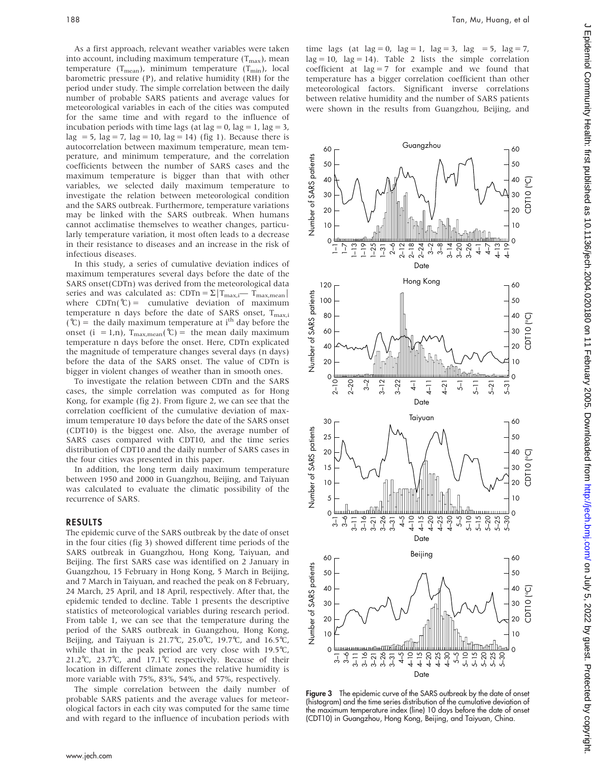As a first approach, relevant weather variables were taken into account, including maximum temperature  $(T_{max})$ , mean temperature (T<sub>mean</sub>), minimum temperature (T<sub>min</sub>), local barometric pressure (P), and relative humidity (RH) for the period under study. The simple correlation between the daily number of probable SARS patients and average values for meteorological variables in each of the cities was computed for the same time and with regard to the influence of incubation periods with time lags (at  $\log = 0$ ,  $\log = 1$ ,  $\log = 3$ ,  $lag = 5$ ,  $lag = 7$ ,  $lag = 10$ ,  $lag = 14$ ) (fig 1). Because there is autocorrelation between maximum temperature, mean temperature, and minimum temperature, and the correlation coefficients between the number of SARS cases and the maximum temperature is bigger than that with other variables, we selected daily maximum temperature to investigate the relation between meteorological condition and the SARS outbreak. Furthermore, temperature variations may be linked with the SARS outbreak. When humans cannot acclimatise themselves to weather changes, particularly temperature variation, it most often leads to a decrease in their resistance to diseases and an increase in the risk of infectious diseases.

In this study, a series of cumulative deviation indices of maximum temperatures several days before the date of the SARS onset(CDTn) was derived from the meteorological data series and was calculated as:  $CDTn = \Sigma |T_{max,i} - T_{max,mean}|$ where  $CDTn(\mathcal{C})$  = cumulative deviation of maximum temperature n days before the date of SARS onset,  $T_{\text{max,i}}$  $(\mathcal{C})$  = the daily maximum temperature at i<sup>th</sup> day before the onset (i = 1,n),  $T_{\text{max,mean}}(\mathcal{C}) =$  the mean daily maximum temperature n days before the onset. Here, CDTn explicated the magnitude of temperature changes several days (n days) before the data of the SARS onset. The value of CDTn is bigger in violent changes of weather than in smooth ones.

To investigate the relation between CDTn and the SARS cases, the simple correlation was computed as for Hong Kong, for example (fig 2). From figure 2, we can see that the correlation coefficient of the cumulative deviation of maximum temperature 10 days before the date of the SARS onset (CDT10) is the biggest one. Also, the average number of SARS cases compared with CDT10, and the time series distribution of CDT10 and the daily number of SARS cases in the four cities was presented in this paper.

In addition, the long term daily maximum temperature between 1950 and 2000 in Guangzhou, Beijing, and Taiyuan was calculated to evaluate the climatic possibility of the recurrence of SARS.

#### RESULTS

The epidemic curve of the SARS outbreak by the date of onset in the four cities (fig 3) showed different time periods of the SARS outbreak in Guangzhou, Hong Kong, Taiyuan, and Beijing. The first SARS case was identified on 2 January in Guangzhou, 15 February in Hong Kong, 5 March in Beijing, and 7 March in Taiyuan, and reached the peak on 8 February, 24 March, 25 April, and 18 April, respectively. After that, the epidemic tended to decline. Table 1 presents the descriptive statistics of meteorological variables during research period. From table 1, we can see that the temperature during the period of the SARS outbreak in Guangzhou, Hong Kong, Beijing, and Taiyuan is 21.7°C, 25.0°C, 19.7°C, and 16.5°C, while that in the peak period are very close with  $19.5^{\circ}$ C, 21.2℃, 23.7℃, and 17.1℃ respectively. Because of their location in different climate zones the relative humidity is more variable with 75%, 83%, 54%, and 57%, respectively.

The simple correlation between the daily number of probable SARS patients and the average values for meteorological factors in each city was computed for the same time and with regard to the influence of incubation periods with

time lags (at  $\log = 0$ ,  $\log = 1$ ,  $\log = 3$ ,  $\log = 5$ ,  $\log = 7$ ,  $lag = 10$ ,  $lag = 14$ ). Table 2 lists the simple correlation coefficient at  $lag = 7$  for example and we found that temperature has a bigger correlation coefficient than other meteorological factors. Significant inverse correlations between relative humidity and the number of SARS patients were shown in the results from Guangzhou, Beijing, and



Figure 3 The epidemic curve of the SARS outbreak by the date of onset (histogram) and the time series distribution of the cumulative deviation of the maximum temperature index (line) 10 days before the date of onset (CDT10) in Guangzhou, Hong Kong, Beijing, and Taiyuan, China.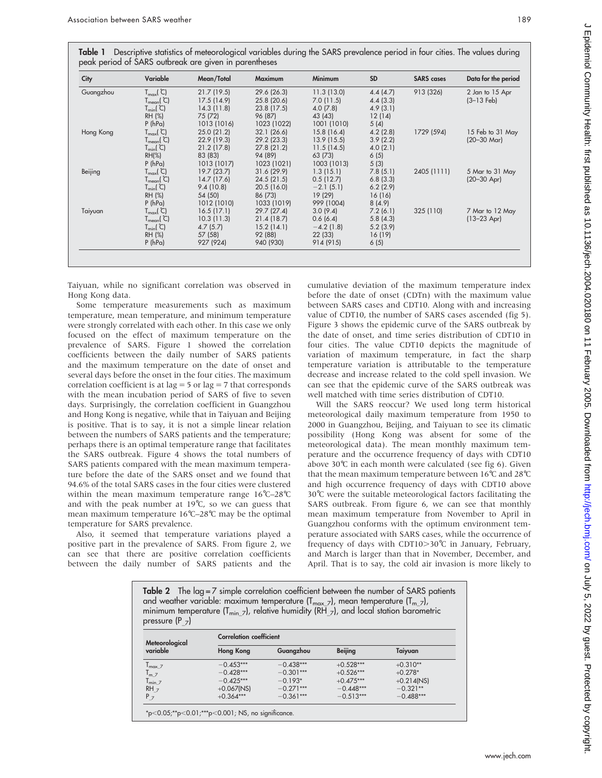| City      | Variable                       | Mean/Total  | <b>Maximum</b> | <b>Minimum</b> | <b>SD</b> | <b>SARS</b> cases | Data for the period |
|-----------|--------------------------------|-------------|----------------|----------------|-----------|-------------------|---------------------|
| Guangzhou | $T_{\text{max}}(C)$            | 21.7(19.5)  | 29.6 (26.3)    | 11.3(13.0)     | 4.4(4.7)  | 913 (326)         | 2 Jan to 15 Apr     |
|           | $T_{\text{mean}}(\mathcal{C})$ | 17.5(14.9)  | 25.8 (20.6)    | 7.0(11.5)      | 4.4(3.3)  |                   | $(3-13$ Feb)        |
|           | $T_{min}(\mathcal{C})$         | 14.3(11.8)  | 23.8 (17.5)    | 4.0(7.8)       | 4.9(3.1)  |                   |                     |
|           | RH (%)                         | 75 (72)     | 96 (87)        | 43 (43)        | 12(14)    |                   |                     |
|           | P(hPa)                         | 1013 (1016) | 1023 (1022)    | 1001 (1010)    | 5(4)      |                   |                     |
| Hong Kong | $T_{\text{max}}(C)$            | 25.0 (21.2) | 32.1(26.6)     | 15.8 (16.4)    | 4.2(2.8)  | 1729 (594)        | 15 Feb to 31 May    |
|           | $T_{mean}(C)$                  | 22.9 (19.3) | 29.2 (23.3)    | 13.9 (15.5)    | 3.9(2.2)  |                   | $(20 - 30$ Mar)     |
|           | $T_{min}(C)$                   | 21.2 (17.8) | 27.8(21.2)     | 11.5(14.5)     | 4.0(2.1)  |                   |                     |
|           | $RH(\%)$                       | 83 (83)     | 94 (89)        | 63 (73)        | 6(5)      |                   |                     |
|           | P(hPa)                         | 1013 (1017) | 1023 (1021)    | 1003 (1013)    | 5(3)      |                   |                     |
| Beijing   | $T_{\text{max}}(C)$            | 19.7 (23.7) | 31.6(29.9)     | 1.3(15.1)      | 7.8(5.1)  | 2405 (1111)       | 5 Mar to 31 May     |
|           | $T_{mean}$ $\mathcal{C}$       | 14.7(17.6)  | 24.5(21.5)     | 0.5(12.7)      | 6.8(3.3)  |                   | $(20-30$ Apr)       |
|           | $T_{\text{min}}(C)$            | 9.4(10.8)   | 20.5(16.0)     | $-2.1(5.1)$    | 6.2(2.9)  |                   |                     |
|           | RH (%)                         | 54 (50)     | 86 (73)        | 19 (29)        | 16(16)    |                   |                     |
|           | P(hPa)<br>1012 (1010)          | 1033 (1019) | 999 (1004)     | 8(4.9)         |           |                   |                     |
| Taiyuan   | $T_{\text{max}}(C)$            | 16.5(17.1)  | 29.7(27.4)     | 3.0(9.4)       | 7.2(6.1)  | 325 (110)         | 7 Mar to 12 May     |
|           | $T_{mean}$ $\mathcal{C}$       | 10.3(11.3)  | 21.4(18.7)     | 0.6(6.4)       | 5.8(4.3)  |                   | $(13 - 23$ Apr)     |
|           | $T_{min}(C)$                   | 4.7(5.7)    | 15.2(14.1)     | $-4.2(1.8)$    | 5.2(3.9)  |                   |                     |
|           | RH (%)                         | 57 (58)     | 92 (88)        | 22(33)         | 16(19)    |                   |                     |
|           | P(hPa)                         | 927 (924)   | 940 (930)      | 914 (915)      | 6(5)      |                   |                     |

Taiyuan, while no significant correlation was observed in Hong Kong data.

Some temperature measurements such as maximum temperature, mean temperature, and minimum temperature were strongly correlated with each other. In this case we only focused on the effect of maximum temperature on the prevalence of SARS. Figure 1 showed the correlation coefficients between the daily number of SARS patients and the maximum temperature on the date of onset and several days before the onset in the four cities. The maximum correlation coefficient is at  $lag = 5$  or  $lag = 7$  that corresponds with the mean incubation period of SARS of five to seven days. Surprisingly, the correlation coefficient in Guangzhou and Hong Kong is negative, while that in Taiyuan and Beijing is positive. That is to say, it is not a simple linear relation between the numbers of SARS patients and the temperature; perhaps there is an optimal temperature range that facilitates the SARS outbreak. Figure 4 shows the total numbers of SARS patients compared with the mean maximum temperature before the date of the SARS onset and we found that 94.6% of the total SARS cases in the four cities were clustered within the mean maximum temperature range 16˚C–28˚C and with the peak number at  $19^{\circ}$ C, so we can guess that mean maximum temperature 16˚C–28˚C may be the optimal temperature for SARS prevalence.

Also, it seemed that temperature variations played a positive part in the prevalence of SARS. From figure 2, we can see that there are positive correlation coefficients between the daily number of SARS patients and the cumulative deviation of the maximum temperature index before the date of onset (CDTn) with the maximum value between SARS cases and CDT10. Along with and increasing value of CDT10, the number of SARS cases ascended (fig 5). Figure 3 shows the epidemic curve of the SARS outbreak by the date of onset, and time series distribution of CDT10 in four cities. The value CDT10 depicts the magnitude of variation of maximum temperature, in fact the sharp temperature variation is attributable to the temperature decrease and increase related to the cold spell invasion. We can see that the epidemic curve of the SARS outbreak was well matched with time series distribution of CDT10.

Will the SARS reoccur? We used long term historical meteorological daily maximum temperature from 1950 to 2000 in Guangzhou, Beijing, and Taiyuan to see its climatic possibility (Hong Kong was absent for some of the meteorological data). The mean monthly maximum temperature and the occurrence frequency of days with CDT10 above  $30^{\circ}$ C in each month were calculated (see fig 6). Given that the mean maximum temperature between 16˚C and 28˚C and high occurrence frequency of days with CDT10 above  $30^{\circ}$ C were the suitable meteorological factors facilitating the SARS outbreak. From figure 6, we can see that monthly mean maximum temperature from November to April in Guangzhou conforms with the optimum environment temperature associated with SARS cases, while the occurrence of frequency of days with CDT10 $>30^{\circ}$ C in January, February, and March is larger than that in November, December, and April. That is to say, the cold air invasion is more likely to

Table 2 The lag = 7 simple correlation coefficient between the number of SARS patients and weather variable: maximum temperature ( $T_{\text{max}}$ <sub>7</sub>), mean temperature ( $T_{\text{m}}$ <sub>7</sub>), minimum temperature ( $T_{min_7}$ ), relative humidity (RH<sub>\_7</sub>), and local station barometric pressure  $(P_7)$ 

| Meteorological                                                                  |                                                                           | <b>Correlation coefficient</b>                                        |                                                                         |                                                                       |  |  |  |  |
|---------------------------------------------------------------------------------|---------------------------------------------------------------------------|-----------------------------------------------------------------------|-------------------------------------------------------------------------|-----------------------------------------------------------------------|--|--|--|--|
| variable                                                                        | Hong Kong                                                                 | Guangzhou                                                             | <b>Beijing</b>                                                          | Taiyuan                                                               |  |  |  |  |
| $T_{\text{max}$ 7<br>$T_{m_7}$<br>$T_{min}$ $\overline{z}$<br>$RH$ $7$<br>$P_7$ | $-0.453***$<br>$-0.428***$<br>$-0.425***$<br>$+0.067$ (NS)<br>$+0.364***$ | $-0.438***$<br>$-0.301***$<br>$-0.193*$<br>$-0.271***$<br>$-0.361***$ | $+0.528***$<br>$+0.526***$<br>$+0.475***$<br>$-0.448***$<br>$-0.513***$ | $+0.310**$<br>$+0.278*$<br>$+0.214$ (NS)<br>$-0.321**$<br>$-0.488***$ |  |  |  |  |
|                                                                                 | *p<0.05;**p<0.01;***p<0.001; NS, no significance.                         |                                                                       |                                                                         |                                                                       |  |  |  |  |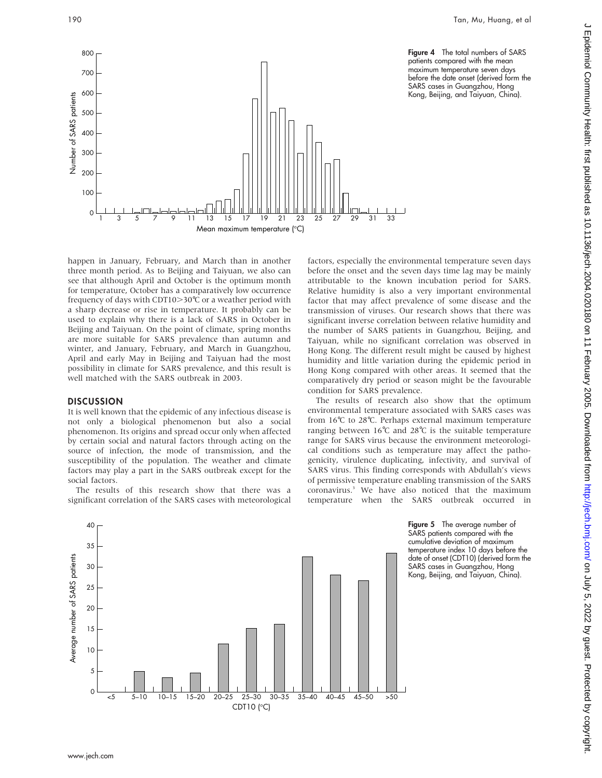Figure 4 The total numbers of SARS patients compared with the mean maximum temperature seven days before the date onset (derived form the SARS cases in Guangzhou, Hong Kong, Beijing, and Taiyuan, China).



happen in January, February, and March than in another three month period. As to Beijing and Taiyuan, we also can see that although April and October is the optimum month for temperature, October has a comparatively low occurrence frequency of days with CDT10 $>$ 30°C or a weather period with a sharp decrease or rise in temperature. It probably can be used to explain why there is a lack of SARS in October in Beijing and Taiyuan. On the point of climate, spring months are more suitable for SARS prevalence than autumn and winter, and January, February, and March in Guangzhou, April and early May in Beijing and Taiyuan had the most possibility in climate for SARS prevalence, and this result is well matched with the SARS outbreak in 2003.

### **DISCUSSION**

It is well known that the epidemic of any infectious disease is not only a biological phenomenon but also a social phenomenon. Its origins and spread occur only when affected by certain social and natural factors through acting on the source of infection, the mode of transmission, and the susceptibility of the population. The weather and climate factors may play a part in the SARS outbreak except for the social factors.

The results of this research show that there was a significant correlation of the SARS cases with meteorological factors, especially the environmental temperature seven days before the onset and the seven days time lag may be mainly attributable to the known incubation period for SARS. Relative humidity is also a very important environmental factor that may affect prevalence of some disease and the transmission of viruses. Our research shows that there was significant inverse correlation between relative humidity and the number of SARS patients in Guangzhou, Beijing, and Taiyuan, while no significant correlation was observed in Hong Kong. The different result might be caused by highest humidity and little variation during the epidemic period in Hong Kong compared with other areas. It seemed that the comparatively dry period or season might be the favourable condition for SARS prevalence.

The results of research also show that the optimum environmental temperature associated with SARS cases was from 16˚C to 28˚C. Perhaps external maximum temperature ranging between  $16^{\circ}$ C and  $28^{\circ}$ C is the suitable temperature range for SARS virus because the environment meteorological conditions such as temperature may affect the pathogenicity, virulence duplicating, infectivity, and survival of SARS virus. This finding corresponds with Abdullah's views of permissive temperature enabling transmission of the SARS coronavirus.3 We have also noticed that the maximum temperature when the SARS outbreak occurred in



Figure 5 The average number of SARS patients compared with the cumulative deviation of maximum temperature index 10 days before the date of onset (CDT10) (derived form the SARS cases in Guangzhou, Hong Kong, Beijing, and Taiyuan, China).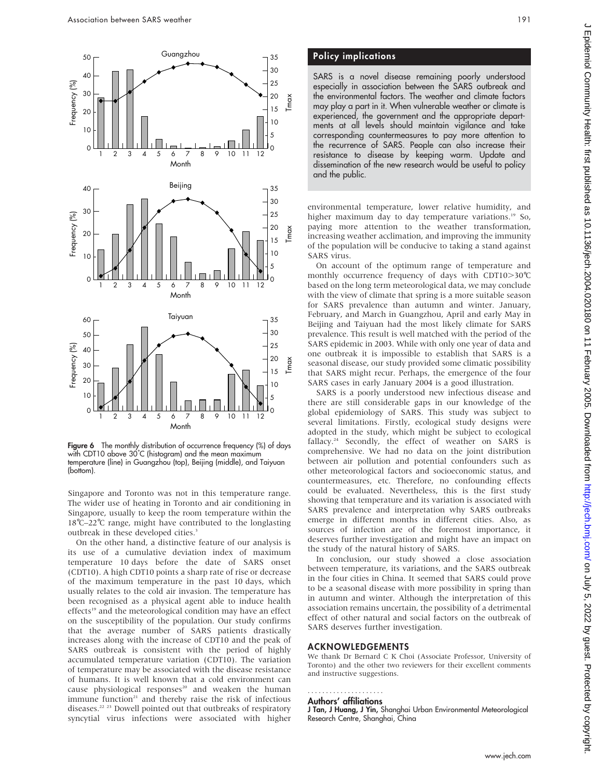

Figure 6 The monthly distribution of occurrence frequency (%) of days with CDT10 above 30°C (histogram) and the mean maximum temperature (line) in Guangzhou (top), Beijing (middle), and Taiyuan (bottom).

Singapore and Toronto was not in this temperature range. The wider use of heating in Toronto and air conditioning in Singapore, usually to keep the room temperature within the 18˚C–22˚C range, might have contributed to the longlasting outbreak in these developed cities.<sup>3</sup>

On the other hand, a distinctive feature of our analysis is its use of a cumulative deviation index of maximum temperature 10 days before the date of SARS onset (CDT10). A high CDT10 points a sharp rate of rise or decrease of the maximum temperature in the past 10 days, which usually relates to the cold air invasion. The temperature has been recognised as a physical agent able to induce health effects<sup>19</sup> and the meteorological condition may have an effect on the susceptibility of the population. Our study confirms that the average number of SARS patients drastically increases along with the increase of CDT10 and the peak of SARS outbreak is consistent with the period of highly accumulated temperature variation (CDT10). The variation of temperature may be associated with the disease resistance of humans. It is well known that a cold environment can cause physiological responses<sup>20</sup> and weaken the human immune function<sup>21</sup> and thereby raise the risk of infectious diseases.<sup>22</sup> <sup>23</sup> Dowell pointed out that outbreaks of respiratory syncytial virus infections were associated with higher

## Policy implications

SARS is a novel disease remaining poorly understood especially in association between the SARS outbreak and the environmental factors. The weather and climate factors may play a part in it. When vulnerable weather or climate is experienced, the government and the appropriate departments at all levels should maintain vigilance and take corresponding countermeasures to pay more attention to the recurrence of SARS. People can also increase their resistance to disease by keeping warm. Update and dissemination of the new research would be useful to policy and the public.

environmental temperature, lower relative humidity, and higher maximum day to day temperature variations.<sup>19</sup> So, paying more attention to the weather transformation, increasing weather acclimation, and improving the immunity of the population will be conducive to taking a stand against SARS virus.

On account of the optimum range of temperature and monthly occurrence frequency of days with CDT10>30°C based on the long term meteorological data, we may conclude with the view of climate that spring is a more suitable season for SARS prevalence than autumn and winter. January, February, and March in Guangzhou, April and early May in Beijing and Taiyuan had the most likely climate for SARS prevalence. This result is well matched with the period of the SARS epidemic in 2003. While with only one year of data and one outbreak it is impossible to establish that SARS is a seasonal disease, our study provided some climatic possibility that SARS might recur. Perhaps, the emergence of the four SARS cases in early January 2004 is a good illustration.

SARS is a poorly understood new infectious disease and there are still considerable gaps in our knowledge of the global epidemiology of SARS. This study was subject to several limitations. Firstly, ecological study designs were adopted in the study, which might be subject to ecological fallacy.<sup>24</sup> Secondly, the effect of weather on SARS is comprehensive. We had no data on the joint distribution between air pollution and potential confounders such as other meteorological factors and socioeconomic status, and countermeasures, etc. Therefore, no confounding effects could be evaluated. Nevertheless, this is the first study showing that temperature and its variation is associated with SARS prevalence and interpretation why SARS outbreaks emerge in different months in different cities. Also, as sources of infection are of the foremost importance, it deserves further investigation and might have an impact on the study of the natural history of SARS.

In conclusion, our study showed a close association between temperature, its variations, and the SARS outbreak in the four cities in China. It seemed that SARS could prove to be a seasonal disease with more possibility in spring than in autumn and winter. Although the interpretation of this association remains uncertain, the possibility of a detrimental effect of other natural and social factors on the outbreak of SARS deserves further investigation.

#### ACKNOWLEDGEMENTS

We thank Dr Bernard C K Choi (Associate Professor, University of Toronto) and the other two reviewers for their excellent comments and instructive suggestions.

#### Authors' affiliations .....................

J Tan, J Huang, J Yin, Shanghai Urban Environmental Meteorological Research Centre, Shanghai, China